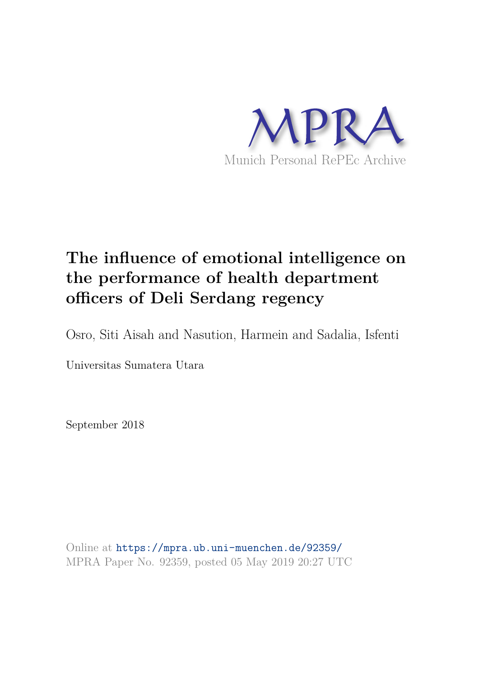

# **The influence of emotional intelligence on the performance of health department officers of Deli Serdang regency**

Osro, Siti Aisah and Nasution, Harmein and Sadalia, Isfenti

Universitas Sumatera Utara

September 2018

Online at https://mpra.ub.uni-muenchen.de/92359/ MPRA Paper No. 92359, posted 05 May 2019 20:27 UTC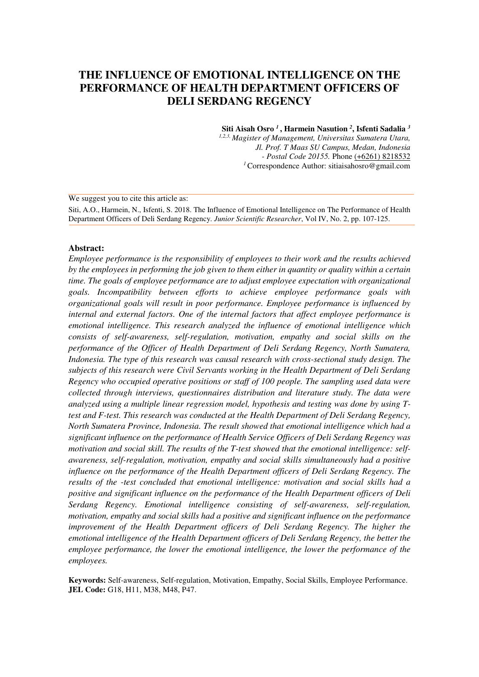# **THE INFLUENCE OF EMOTIONAL INTELLIGENCE ON THE PERFORMANCE OF HEALTH DEPARTMENT OFFICERS OF DELI SERDANG REGENCY**

**Siti Aisah Osro** *<sup>1</sup>* **, Harmein Nasution** *<sup>2</sup>* **, Isfenti Sadalia** *<sup>3</sup>*

*1,2,3, Magister of Management, Universitas Sumatera Utara, Jl. Prof. T Maas SU Campus, Medan, Indonesia - Postal Code 20155.* Phon[e \(+6261\) 8218532](https://www.google.co.id/search?q=MM+USU&rlz=1C1CHNQ_enID584ID584&oq=MM+USU&aqs=chrome..69i57j0l5.2220j0j7&sourceid=chrome&ie=UTF-8)  *<sup>1</sup>*Correspondence Author: sitiaisahosro@gmail.com

We suggest you to cite this article as:

Siti, A.O., Harmein, N., Isfenti, S. 2018. The Influence of Emotional Intelligence on The Performance of Health Department Officers of Deli Serdang Regency. *Junior Scientific Researcher*, Vol IV, No. 2, pp. 107-125.

#### **Abstract:**

*Employee performance is the responsibility of employees to their work and the results achieved by the employees in performing the job given to them either in quantity or quality within a certain time. The goals of employee performance are to adjust employee expectation with organizational goals. Incompatibility between efforts to achieve employee performance goals with organizational goals will result in poor performance. Employee performance is influenced by internal and external factors. One of the internal factors that affect employee performance is emotional intelligence. This research analyzed the influence of emotional intelligence which consists of self-awareness, self-regulation, motivation, empathy and social skills on the performance of the Officer of Health Department of Deli Serdang Regency, North Sumatera, Indonesia. The type of this research was causal research with cross-sectional study design. The subjects of this research were Civil Servants working in the Health Department of Deli Serdang Regency who occupied operative positions or staff of 100 people. The sampling used data were collected through interviews, questionnaires distribution and literature study. The data were analyzed using a multiple linear regression model, hypothesis and testing was done by using Ttest and F-test. This research was conducted at the Health Department of Deli Serdang Regency, North Sumatera Province, Indonesia. The result showed that emotional intelligence which had a significant influence on the performance of Health Service Officers of Deli Serdang Regency was motivation and social skill. The results of the T-test showed that the emotional intelligence: selfawareness, self-regulation, motivation, empathy and social skills simultaneously had a positive influence on the performance of the Health Department officers of Deli Serdang Regency. The results of the -test concluded that emotional intelligence: motivation and social skills had a positive and significant influence on the performance of the Health Department officers of Deli Serdang Regency. Emotional intelligence consisting of self-awareness, self-regulation, motivation, empathy and social skills had a positive and significant influence on the performance improvement of the Health Department officers of Deli Serdang Regency. The higher the emotional intelligence of the Health Department officers of Deli Serdang Regency, the better the employee performance, the lower the emotional intelligence, the lower the performance of the employees.* 

**Keywords:** Self-awareness, Self-regulation, Motivation, Empathy, Social Skills, Employee Performance. **JEL Code:** G18, H11, M38, M48, P47.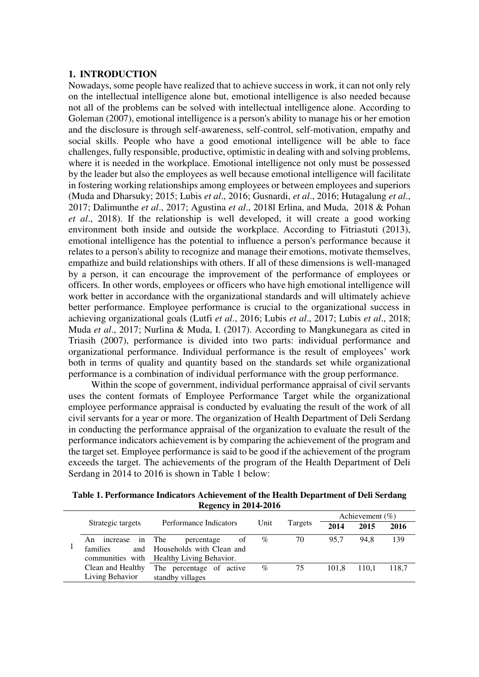#### **1. INTRODUCTION**

Nowadays, some people have realized that to achieve success in work, it can not only rely on the intellectual intelligence alone but, emotional intelligence is also needed because not all of the problems can be solved with intellectual intelligence alone. According to Goleman (2007), emotional intelligence is a person's ability to manage his or her emotion and the disclosure is through self-awareness, self-control, self-motivation, empathy and social skills. People who have a good emotional intelligence will be able to face challenges, fully responsible, productive, optimistic in dealing with and solving problems, where it is needed in the workplace. Emotional intelligence not only must be possessed by the leader but also the employees as well because emotional intelligence will facilitate in fostering working relationships among employees or between employees and superiors (Muda and Dharsuky; 2015; Lubis *et al*., 2016; Gusnardi, *et al*., 2016; Hutagalung *et al*., 2017; Dalimunthe *et al*., 2017; Agustina *et al*., 2018l Erlina, and Muda, 2018 & Pohan *et al*., 2018). If the relationship is well developed, it will create a good working environment both inside and outside the workplace. According to Fitriastuti (2013), emotional intelligence has the potential to influence a person's performance because it relates to a person's ability to recognize and manage their emotions, motivate themselves, empathize and build relationships with others. If all of these dimensions is well-managed by a person, it can encourage the improvement of the performance of employees or officers. In other words, employees or officers who have high emotional intelligence will work better in accordance with the organizational standards and will ultimately achieve better performance. Employee performance is crucial to the organizational success in achieving organizational goals (Lutfi *et al*., 2016; Lubis *et al*., 2017; Lubis *et al*., 2018; Muda *et al*., 2017; Nurlina & Muda, I. (2017). According to Mangkunegara as cited in Triasih (2007), performance is divided into two parts: individual performance and organizational performance. Individual performance is the result of employees' work both in terms of quality and quantity based on the standards set while organizational performance is a combination of individual performance with the group performance.

Within the scope of government, individual performance appraisal of civil servants uses the content formats of Employee Performance Target while the organizational employee performance appraisal is conducted by evaluating the result of the work of all civil servants for a year or more. The organization of Health Department of Deli Serdang in conducting the performance appraisal of the organization to evaluate the result of the performance indicators achievement is by comparing the achievement of the program and the target set. Employee performance is said to be good if the achievement of the program exceeds the target. The achievements of the program of the Health Department of Deli Serdang in 2014 to 2016 is shown in Table 1 below:

**Table 1. Performance Indicators Achievement of the Health Department of Deli Serdang Regency in 2014-2016** 

|                                          |                                                                                                |      |         | Achievement $(\%)$ |       |       |
|------------------------------------------|------------------------------------------------------------------------------------------------|------|---------|--------------------|-------|-------|
| Strategic targets                        | Performance Indicators<br>Unit                                                                 |      | Targets | 2014               | 2015  | 2016  |
| increase in The<br>An<br><b>families</b> | percentage<br>οf<br>and Households with Clean and<br>communities with Healthy Living Behavior. | $\%$ | 70      | 95.7               | 94.8  | 139   |
| Clean and Healthy<br>Living Behavior     | The percentage of active<br>standby villages                                                   | $\%$ | 75      | 101.8              | 110.1 | 118.7 |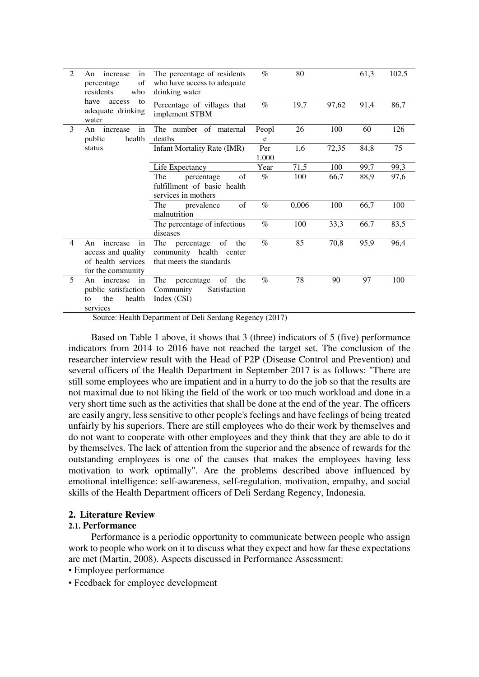| 2 | in<br>increase<br>An<br>of<br>percentage<br>residents<br>who                          | The percentage of residents<br>who have access to adequate<br>drinking water          | $\%$         | 80    |       | 61,3 | 102,5 |
|---|---------------------------------------------------------------------------------------|---------------------------------------------------------------------------------------|--------------|-------|-------|------|-------|
|   | have<br>to<br>access<br>adequate drinking<br>water                                    | Percentage of villages that<br>implement STBM                                         | $\%$         | 19,7  | 97,62 | 91,4 | 86,7  |
| 3 | in<br>An increase<br>health<br>public                                                 | The number of maternal<br>deaths                                                      | Peopl<br>e   | 26    | 100   | 60   | 126   |
|   | status                                                                                | <b>Infant Mortality Rate (IMR)</b>                                                    | Per<br>1.000 | 1,6   | 72,35 | 84,8 | 75    |
|   |                                                                                       | Life Expectancy                                                                       | Year         | 71,5  | 100   | 99,7 | 99,3  |
|   |                                                                                       | The<br>percentage<br>of                                                               | $\%$         | 100   | 66,7  | 88,9 | 97,6  |
|   |                                                                                       | fulfillment of basic health<br>services in mothers                                    |              |       |       |      |       |
|   |                                                                                       | of<br>The<br>prevalence<br>malnutrition                                               | $\%$         | 0,006 | 100   | 66,7 | 100   |
|   |                                                                                       | The percentage of infectious<br>diseases                                              | $\%$         | 100   | 33,3  | 66.7 | 83,5  |
| 4 | increase<br>An<br>in<br>access and quality<br>of health services<br>for the community | The<br>of<br>percentage<br>the<br>community health center<br>that meets the standards | $\%$         | 85    | 70,8  | 95,9 | 96,4  |
| 5 | An<br>in<br>increase<br>public satisfaction<br>the<br>health<br>to<br>services        | The<br>the<br>percentage<br>of<br>Community<br>Satisfaction<br>Index $(CSI)$          | $\%$         | 78    | 90    | 97   | 100   |

Source: Health Department of Deli Serdang Regency (2017)

Based on Table 1 above, it shows that 3 (three) indicators of 5 (five) performance indicators from 2014 to 2016 have not reached the target set. The conclusion of the researcher interview result with the Head of P2P (Disease Control and Prevention) and several officers of the Health Department in September 2017 is as follows: "There are still some employees who are impatient and in a hurry to do the job so that the results are not maximal due to not liking the field of the work or too much workload and done in a very short time such as the activities that shall be done at the end of the year. The officers are easily angry, less sensitive to other people's feelings and have feelings of being treated unfairly by his superiors. There are still employees who do their work by themselves and do not want to cooperate with other employees and they think that they are able to do it by themselves. The lack of attention from the superior and the absence of rewards for the outstanding employees is one of the causes that makes the employees having less motivation to work optimally". Are the problems described above influenced by emotional intelligence: self-awareness, self-regulation, motivation, empathy, and social skills of the Health Department officers of Deli Serdang Regency, Indonesia.

#### **2. Literature Review**

#### **2.1. Performance**

 Performance is a periodic opportunity to communicate between people who assign work to people who work on it to discuss what they expect and how far these expectations are met (Martin, 2008). Aspects discussed in Performance Assessment:

- Employee performance
- Feedback for employee development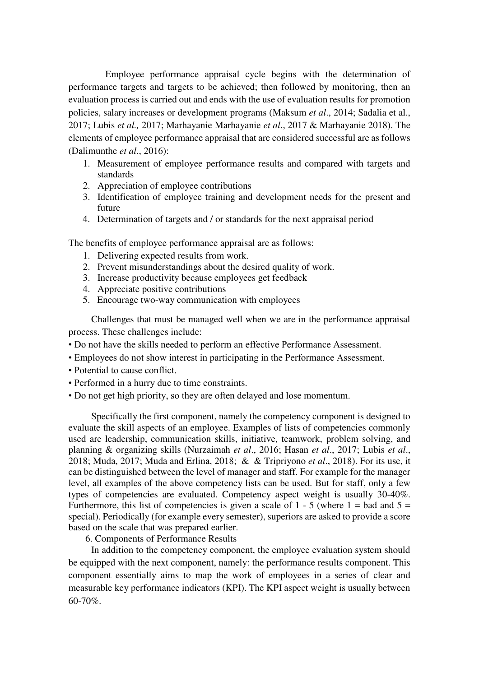Employee performance appraisal cycle begins with the determination of performance targets and targets to be achieved; then followed by monitoring, then an evaluation process is carried out and ends with the use of evaluation results for promotion policies, salary increases or development programs (Maksum *et al*., 2014; Sadalia et al., 2017; Lubis *et al.,* 2017; Marhayanie Marhayanie *et al*., 2017 & Marhayanie 2018). The elements of employee performance appraisal that are considered successful are as follows (Dalimunthe *et al*., 2016):

- 1. Measurement of employee performance results and compared with targets and standards
- 2. Appreciation of employee contributions
- 3. Identification of employee training and development needs for the present and future
- 4. Determination of targets and / or standards for the next appraisal period

The benefits of employee performance appraisal are as follows:

- 1. Delivering expected results from work.
- 2. Prevent misunderstandings about the desired quality of work.
- 3. Increase productivity because employees get feedback
- 4. Appreciate positive contributions
- 5. Encourage two-way communication with employees

 Challenges that must be managed well when we are in the performance appraisal process. These challenges include:

- Do not have the skills needed to perform an effective Performance Assessment.
- Employees do not show interest in participating in the Performance Assessment.
- Potential to cause conflict.
- Performed in a hurry due to time constraints.
- Do not get high priority, so they are often delayed and lose momentum.

Specifically the first component, namely the competency component is designed to evaluate the skill aspects of an employee. Examples of lists of competencies commonly used are leadership, communication skills, initiative, teamwork, problem solving, and planning & organizing skills (Nurzaimah *et al*., 2016; Hasan *et al*., 2017; Lubis *et al*., 2018; Muda, 2017; Muda and Erlina, 2018; & & Tripriyono *et al*., 2018). For its use, it can be distinguished between the level of manager and staff. For example for the manager level, all examples of the above competency lists can be used. But for staff, only a few types of competencies are evaluated. Competency aspect weight is usually 30-40%. Furthermore, this list of competencies is given a scale of 1 - 5 (where  $1 =$  bad and  $5 =$ special). Periodically (for example every semester), superiors are asked to provide a score based on the scale that was prepared earlier.

6. Components of Performance Results

In addition to the competency component, the employee evaluation system should be equipped with the next component, namely: the performance results component. This component essentially aims to map the work of employees in a series of clear and measurable key performance indicators (KPI). The KPI aspect weight is usually between 60-70%.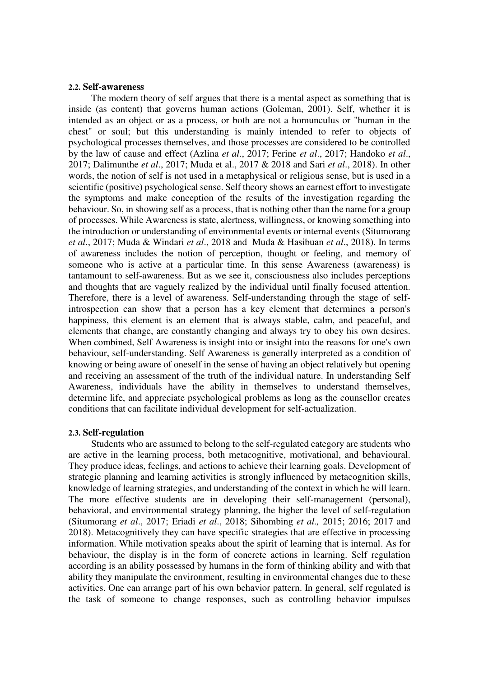#### **2.2. Self-awareness**

The modern theory of self argues that there is a mental aspect as something that is inside (as content) that governs human actions (Goleman, 2001). Self, whether it is intended as an object or as a process, or both are not a homunculus or "human in the chest" or soul; but this understanding is mainly intended to refer to objects of psychological processes themselves, and those processes are considered to be controlled by the law of cause and effect (Azlina *et al*., 2017; Ferine *et al*., 2017; Handoko *et al*., 2017; Dalimunthe *et al*., 2017; Muda et al., 2017 & 2018 and Sari *et al*., 2018). In other words, the notion of self is not used in a metaphysical or religious sense, but is used in a scientific (positive) psychological sense. Self theory shows an earnest effort to investigate the symptoms and make conception of the results of the investigation regarding the behaviour. So, in showing self as a process, that is nothing other than the name for a group of processes. While Awareness is state, alertness, willingness, or knowing something into the introduction or understanding of environmental events or internal events (Situmorang *et al*., 2017; Muda & Windari *et al*., 2018 and Muda & Hasibuan *et al*., 2018). In terms of awareness includes the notion of perception, thought or feeling, and memory of someone who is active at a particular time. In this sense Awareness (awareness) is tantamount to self-awareness. But as we see it, consciousness also includes perceptions and thoughts that are vaguely realized by the individual until finally focused attention. Therefore, there is a level of awareness. Self-understanding through the stage of selfintrospection can show that a person has a key element that determines a person's happiness, this element is an element that is always stable, calm, and peaceful, and elements that change, are constantly changing and always try to obey his own desires. When combined, Self Awareness is insight into or insight into the reasons for one's own behaviour, self-understanding. Self Awareness is generally interpreted as a condition of knowing or being aware of oneself in the sense of having an object relatively but opening and receiving an assessment of the truth of the individual nature. In understanding Self Awareness, individuals have the ability in themselves to understand themselves, determine life, and appreciate psychological problems as long as the counsellor creates conditions that can facilitate individual development for self-actualization.

#### **2.3. Self-regulation**

Students who are assumed to belong to the self-regulated category are students who are active in the learning process, both metacognitive, motivational, and behavioural. They produce ideas, feelings, and actions to achieve their learning goals. Development of strategic planning and learning activities is strongly influenced by metacognition skills, knowledge of learning strategies, and understanding of the context in which he will learn. The more effective students are in developing their self-management (personal), behavioral, and environmental strategy planning, the higher the level of self-regulation (Situmorang *et al*., 2017; Eriadi *et al*., 2018; Sihombing *et al.,* 2015; 2016; 2017 and 2018). Metacognitively they can have specific strategies that are effective in processing information. While motivation speaks about the spirit of learning that is internal. As for behaviour, the display is in the form of concrete actions in learning. Self regulation according is an ability possessed by humans in the form of thinking ability and with that ability they manipulate the environment, resulting in environmental changes due to these activities. One can arrange part of his own behavior pattern. In general, self regulated is the task of someone to change responses, such as controlling behavior impulses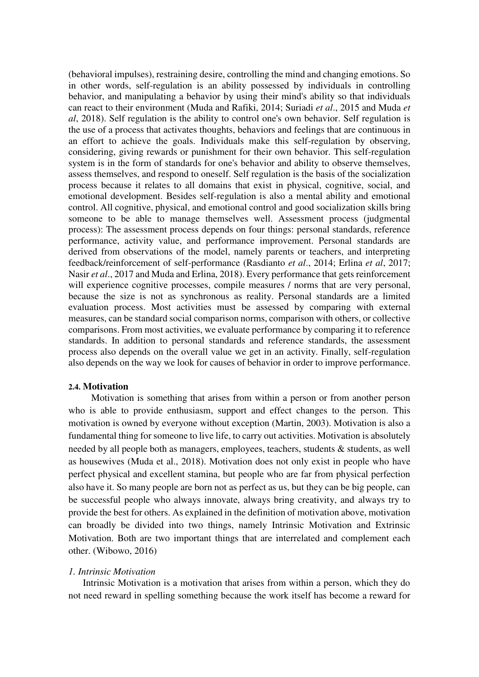(behavioral impulses), restraining desire, controlling the mind and changing emotions. So in other words, self-regulation is an ability possessed by individuals in controlling behavior, and manipulating a behavior by using their mind's ability so that individuals can react to their environment (Muda and Rafiki, 2014; Suriadi *et al*., 2015 and Muda *et al*, 2018). Self regulation is the ability to control one's own behavior. Self regulation is the use of a process that activates thoughts, behaviors and feelings that are continuous in an effort to achieve the goals. Individuals make this self-regulation by observing, considering, giving rewards or punishment for their own behavior. This self-regulation system is in the form of standards for one's behavior and ability to observe themselves, assess themselves, and respond to oneself. Self regulation is the basis of the socialization process because it relates to all domains that exist in physical, cognitive, social, and emotional development. Besides self-regulation is also a mental ability and emotional control. All cognitive, physical, and emotional control and good socialization skills bring someone to be able to manage themselves well. Assessment process (judgmental process): The assessment process depends on four things: personal standards, reference performance, activity value, and performance improvement. Personal standards are derived from observations of the model, namely parents or teachers, and interpreting feedback/reinforcement of self-performance (Rasdianto *et al*., 2014; Erlina *et al*, 2017; Nasir *et al*., 2017 and Muda and Erlina, 2018). Every performance that gets reinforcement will experience cognitive processes, compile measures / norms that are very personal, because the size is not as synchronous as reality. Personal standards are a limited evaluation process. Most activities must be assessed by comparing with external measures, can be standard social comparison norms, comparison with others, or collective comparisons. From most activities, we evaluate performance by comparing it to reference standards. In addition to personal standards and reference standards, the assessment process also depends on the overall value we get in an activity. Finally, self-regulation also depends on the way we look for causes of behavior in order to improve performance.

#### **2.4. Motivation**

Motivation is something that arises from within a person or from another person who is able to provide enthusiasm, support and effect changes to the person. This motivation is owned by everyone without exception (Martin, 2003). Motivation is also a fundamental thing for someone to live life, to carry out activities. Motivation is absolutely needed by all people both as managers, employees, teachers, students & students, as well as housewives (Muda et al., 2018). Motivation does not only exist in people who have perfect physical and excellent stamina, but people who are far from physical perfection also have it. So many people are born not as perfect as us, but they can be big people, can be successful people who always innovate, always bring creativity, and always try to provide the best for others. As explained in the definition of motivation above, motivation can broadly be divided into two things, namely Intrinsic Motivation and Extrinsic Motivation. Both are two important things that are interrelated and complement each other. (Wibowo, 2016)

#### *1. Intrinsic Motivation*

Intrinsic Motivation is a motivation that arises from within a person, which they do not need reward in spelling something because the work itself has become a reward for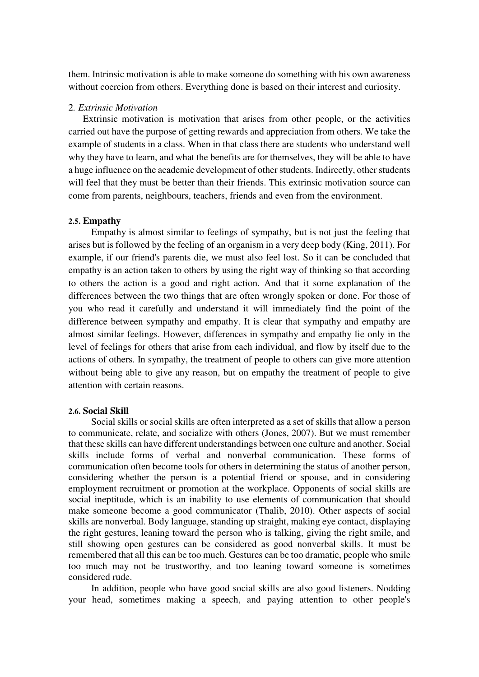them. Intrinsic motivation is able to make someone do something with his own awareness without coercion from others. Everything done is based on their interest and curiosity.

#### 2*. Extrinsic Motivation*

Extrinsic motivation is motivation that arises from other people, or the activities carried out have the purpose of getting rewards and appreciation from others. We take the example of students in a class. When in that class there are students who understand well why they have to learn, and what the benefits are for themselves, they will be able to have a huge influence on the academic development of other students. Indirectly, other students will feel that they must be better than their friends. This extrinsic motivation source can come from parents, neighbours, teachers, friends and even from the environment.

#### **2.5. Empathy**

Empathy is almost similar to feelings of sympathy, but is not just the feeling that arises but is followed by the feeling of an organism in a very deep body (King, 2011). For example, if our friend's parents die, we must also feel lost. So it can be concluded that empathy is an action taken to others by using the right way of thinking so that according to others the action is a good and right action. And that it some explanation of the differences between the two things that are often wrongly spoken or done. For those of you who read it carefully and understand it will immediately find the point of the difference between sympathy and empathy. It is clear that sympathy and empathy are almost similar feelings. However, differences in sympathy and empathy lie only in the level of feelings for others that arise from each individual, and flow by itself due to the actions of others. In sympathy, the treatment of people to others can give more attention without being able to give any reason, but on empathy the treatment of people to give attention with certain reasons.

#### **2.6. Social Skill**

Social skills or social skills are often interpreted as a set of skills that allow a person to communicate, relate, and socialize with others (Jones, 2007). But we must remember that these skills can have different understandings between one culture and another. Social skills include forms of verbal and nonverbal communication. These forms of communication often become tools for others in determining the status of another person, considering whether the person is a potential friend or spouse, and in considering employment recruitment or promotion at the workplace. Opponents of social skills are social ineptitude, which is an inability to use elements of communication that should make someone become a good communicator (Thalib, 2010). Other aspects of social skills are nonverbal. Body language, standing up straight, making eye contact, displaying the right gestures, leaning toward the person who is talking, giving the right smile, and still showing open gestures can be considered as good nonverbal skills. It must be remembered that all this can be too much. Gestures can be too dramatic, people who smile too much may not be trustworthy, and too leaning toward someone is sometimes considered rude.

 In addition, people who have good social skills are also good listeners. Nodding your head, sometimes making a speech, and paying attention to other people's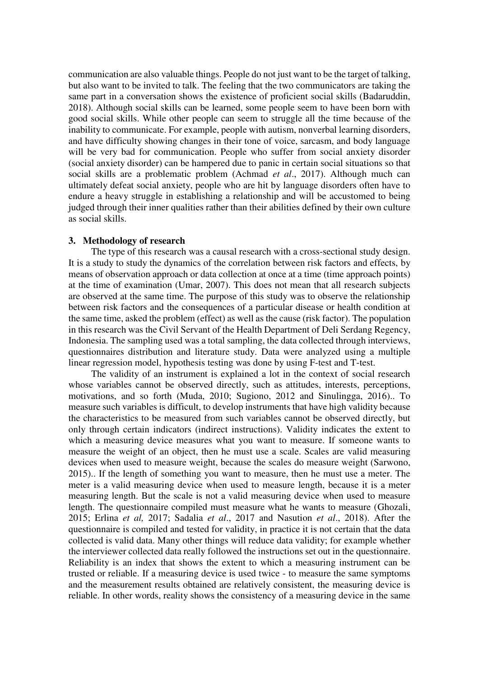communication are also valuable things. People do not just want to be the target of talking, but also want to be invited to talk. The feeling that the two communicators are taking the same part in a conversation shows the existence of proficient social skills (Badaruddin, 2018). Although social skills can be learned, some people seem to have been born with good social skills. While other people can seem to struggle all the time because of the inability to communicate. For example, people with autism, nonverbal learning disorders, and have difficulty showing changes in their tone of voice, sarcasm, and body language will be very bad for communication. People who suffer from social anxiety disorder (social anxiety disorder) can be hampered due to panic in certain social situations so that social skills are a problematic problem (Achmad *et al*., 2017). Although much can ultimately defeat social anxiety, people who are hit by language disorders often have to endure a heavy struggle in establishing a relationship and will be accustomed to being judged through their inner qualities rather than their abilities defined by their own culture as social skills.

#### **3. Methodology of research**

The type of this research was a causal research with a cross-sectional study design. It is a study to study the dynamics of the correlation between risk factors and effects, by means of observation approach or data collection at once at a time (time approach points) at the time of examination (Umar, 2007). This does not mean that all research subjects are observed at the same time. The purpose of this study was to observe the relationship between risk factors and the consequences of a particular disease or health condition at the same time, asked the problem (effect) as well as the cause (risk factor). The population in this research was the Civil Servant of the Health Department of Deli Serdang Regency, Indonesia. The sampling used was a total sampling, the data collected through interviews, questionnaires distribution and literature study. Data were analyzed using a multiple linear regression model, hypothesis testing was done by using F-test and T-test.

The validity of an instrument is explained a lot in the context of social research whose variables cannot be observed directly, such as attitudes, interests, perceptions, motivations, and so forth (Muda, 2010; Sugiono, 2012 and Sinulingga, 2016).. To measure such variables is difficult, to develop instruments that have high validity because the characteristics to be measured from such variables cannot be observed directly, but only through certain indicators (indirect instructions). Validity indicates the extent to which a measuring device measures what you want to measure. If someone wants to measure the weight of an object, then he must use a scale. Scales are valid measuring devices when used to measure weight, because the scales do measure weight (Sarwono, 2015).. If the length of something you want to measure, then he must use a meter. The meter is a valid measuring device when used to measure length, because it is a meter measuring length. But the scale is not a valid measuring device when used to measure length. The questionnaire compiled must measure what he wants to measure (Ghozali, 2015; Erlina *et al,* 2017; Sadalia *et al*., 2017 and Nasution *et al*., 2018). After the questionnaire is compiled and tested for validity, in practice it is not certain that the data collected is valid data. Many other things will reduce data validity; for example whether the interviewer collected data really followed the instructions set out in the questionnaire. Reliability is an index that shows the extent to which a measuring instrument can be trusted or reliable. If a measuring device is used twice - to measure the same symptoms and the measurement results obtained are relatively consistent, the measuring device is reliable. In other words, reality shows the consistency of a measuring device in the same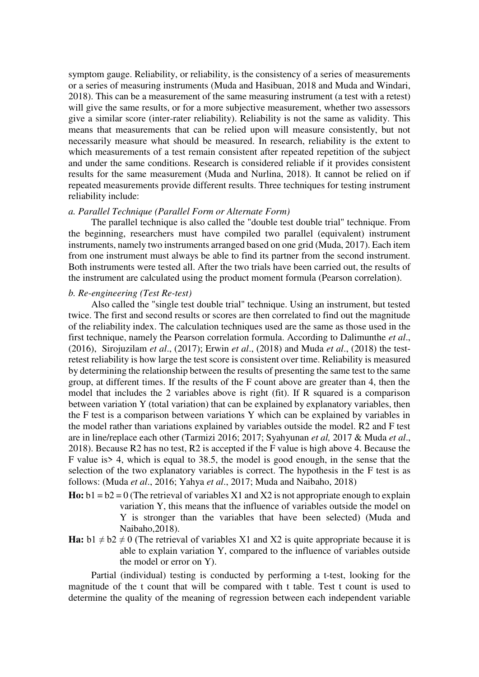symptom gauge. Reliability, or reliability, is the consistency of a series of measurements or a series of measuring instruments (Muda and Hasibuan, 2018 and Muda and Windari, 2018). This can be a measurement of the same measuring instrument (a test with a retest) will give the same results, or for a more subjective measurement, whether two assessors give a similar score (inter-rater reliability). Reliability is not the same as validity. This means that measurements that can be relied upon will measure consistently, but not necessarily measure what should be measured. In research, reliability is the extent to which measurements of a test remain consistent after repeated repetition of the subject and under the same conditions. Research is considered reliable if it provides consistent results for the same measurement (Muda and Nurlina, 2018). It cannot be relied on if repeated measurements provide different results. Three techniques for testing instrument reliability include:

#### *a. Parallel Technique (Parallel Form or Alternate Form)*

The parallel technique is also called the "double test double trial" technique. From the beginning, researchers must have compiled two parallel (equivalent) instrument instruments, namely two instruments arranged based on one grid (Muda, 2017). Each item from one instrument must always be able to find its partner from the second instrument. Both instruments were tested all. After the two trials have been carried out, the results of the instrument are calculated using the product moment formula (Pearson correlation).

#### *b. Re-engineering (Test Re-test)*

Also called the "single test double trial" technique. Using an instrument, but tested twice. The first and second results or scores are then correlated to find out the magnitude of the reliability index. The calculation techniques used are the same as those used in the first technique, namely the Pearson correlation formula. According to Dalimunthe *et al*., (2016), Sirojuzilam *et al*., (2017); Erwin *et al*., (2018) and Muda *et al*., (2018) the testretest reliability is how large the test score is consistent over time. Reliability is measured by determining the relationship between the results of presenting the same test to the same group, at different times. If the results of the F count above are greater than 4, then the model that includes the 2 variables above is right (fit). If R squared is a comparison between variation Y (total variation) that can be explained by explanatory variables, then the F test is a comparison between variations Y which can be explained by variables in the model rather than variations explained by variables outside the model. R2 and F test are in line/replace each other (Tarmizi 2016; 2017; Syahyunan *et al,* 2017 & Muda *et al*., 2018). Because R2 has no test, R2 is accepted if the F value is high above 4. Because the F value is> 4, which is equal to 38.5, the model is good enough, in the sense that the selection of the two explanatory variables is correct. The hypothesis in the F test is as follows: (Muda *et al*., 2016; Yahya *et al*., 2017; Muda and Naibaho, 2018)

- **Ho:**  $b1 = b2 = 0$  (The retrieval of variables X1 and X2 is not appropriate enough to explain variation Y, this means that the influence of variables outside the model on Y is stronger than the variables that have been selected) (Muda and Naibaho,2018).
- **Ha:**  $b1 \neq b2 \neq 0$  (The retrieval of variables X1 and X2 is quite appropriate because it is able to explain variation Y, compared to the influence of variables outside the model or error on Y).

Partial (individual) testing is conducted by performing a t-test, looking for the magnitude of the t count that will be compared with t table. Test t count is used to determine the quality of the meaning of regression between each independent variable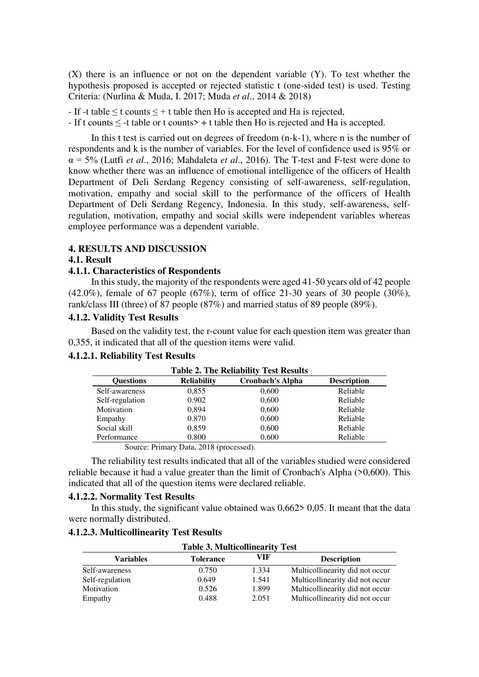(X) there is an influence or not on the dependent variable (Y). To test whether the hypothesis proposed is accepted or rejected statistic t (one-sided test) is used. Testing Criteria: (Nurlina & Muda, I. 2017; Muda *et al*., 2014 & 2018)

- If -t table  $\leq$  t counts  $\leq$  + t table then Ho is accepted and Ha is rejected,

- If t counts  $\leq$  -t table or t counts  $\geq$  + t table then Ho is rejected and Ha is accepted.

In this t test is carried out on degrees of freedom (n-k-1), where n is the number of respondents and k is the number of variables. For the level of confidence used is 95% or α = 5% (Lutfi *et al*., 2016; Mahdaleta *et al*., 2016). The T-test and F-test were done to know whether there was an influence of emotional intelligence of the officers of Health Department of Deli Serdang Regency consisting of self-awareness, self-regulation, motivation, empathy and social skill to the performance of the officers of Health Department of Deli Serdang Regency, Indonesia. In this study, self-awareness, selfregulation, motivation, empathy and social skills were independent variables whereas employee performance was a dependent variable.

#### **4. RESULTS AND DISCUSSION**

#### **4.1. Result**

#### **4.1.1. Characteristics of Respondents**

 In this study, the majority of the respondents were aged 41-50 years old of 42 people  $(42.0\%)$ , female of 67 people  $(67\%)$ , term of office 21-30 years of 30 people  $(30\%)$ , rank/class III (three) of 87 people (87%) and married status of 89 people (89%).

### **4.1.2. Validity Test Results**

Based on the validity test, the r-count value for each question item was greater than 0,355, it indicated that all of the question items were valid.

# **4.1.2.1. Reliability Test Results**

| $1400C$ $\mu$ , The Kenability Test Results                                             |       |       |          |  |  |  |  |  |
|-----------------------------------------------------------------------------------------|-------|-------|----------|--|--|--|--|--|
| <b>Cronbach's Alpha</b><br><b>Reliability</b><br><b>Description</b><br><b>Ouestions</b> |       |       |          |  |  |  |  |  |
| Self-awareness                                                                          | 0,855 | 0,600 | Reliable |  |  |  |  |  |
| Self-regulation                                                                         | 0.902 | 0,600 | Reliable |  |  |  |  |  |
| Motivation                                                                              | 0,894 | 0,600 | Reliable |  |  |  |  |  |
| Empathy                                                                                 | 0.870 | 0,600 | Reliable |  |  |  |  |  |
| Social skill                                                                            | 0,859 | 0,600 | Reliable |  |  |  |  |  |
| Performance                                                                             | 0.800 | 0,600 | Reliable |  |  |  |  |  |
| Source: Primary Data 2018 (processed)                                                   |       |       |          |  |  |  |  |  |

|  |  | <b>Table 2. The Reliability Test Results</b> |  |  |
|--|--|----------------------------------------------|--|--|
|--|--|----------------------------------------------|--|--|

Source: Primary Data, 2018 (processed).

The reliability test results indicated that all of the variables studied were considered reliable because it had a value greater than the limit of Cronbach's Alpha (>0,600). This indicated that all of the question items were declared reliable.

# **4.1.2.2. Normality Test Results**

In this study, the significant value obtained was 0,662> 0,05. It meant that the data were normally distributed.

#### **4.1.2.3. Multicollinearity Test Results**

| <b>Table 3. Multicollinearity Test</b>                            |       |       |                                 |  |  |
|-------------------------------------------------------------------|-------|-------|---------------------------------|--|--|
| VIF<br><b>Description</b><br><b>Variables</b><br><b>Tolerance</b> |       |       |                                 |  |  |
| Self-awareness                                                    | 0.750 | 1.334 | Multicollinearity did not occur |  |  |
| Self-regulation                                                   | 0.649 | 1.541 | Multicollinearity did not occur |  |  |
| Motivation                                                        | 0.526 | 1.899 | Multicollinearity did not occur |  |  |
| Empathy                                                           | 0.488 | 2.051 | Multicollinearity did not occur |  |  |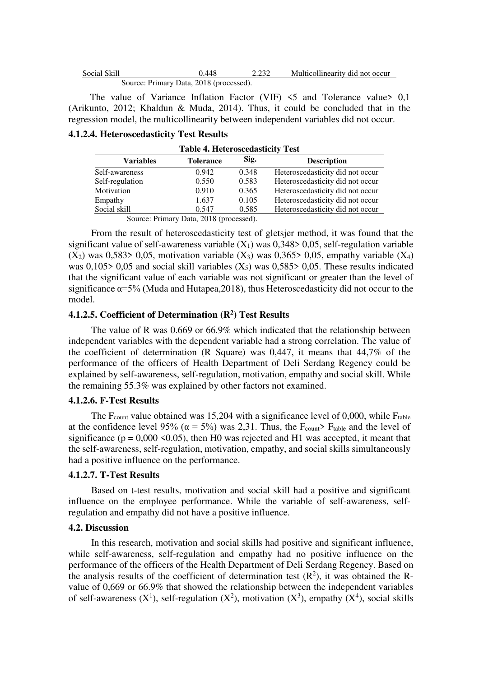| Social Skill                            | 0.448 | 2.232 | Multicollinearity did not occur |
|-----------------------------------------|-------|-------|---------------------------------|
| Source: Primary Data, 2018 (processed). |       |       |                                 |

The value of Variance Inflation Factor (VIF)  $\leq$  5 and Tolerance value  $\geq$  0,1 (Arikunto, 2012; Khaldun & Muda, 2014). Thus, it could be concluded that in the regression model, the multicollinearity between independent variables did not occur.

#### **4.1.2.4. Heteroscedasticity Test Results**

| Table 4. Helef osceuasticity Test                                  |       |       |                                  |  |  |  |
|--------------------------------------------------------------------|-------|-------|----------------------------------|--|--|--|
| Sig.<br><b>Description</b><br><b>Variables</b><br><b>Tolerance</b> |       |       |                                  |  |  |  |
| Self-awareness                                                     | 0.942 | 0.348 | Heteroscedasticity did not occur |  |  |  |
| Self-regulation                                                    | 0.550 | 0.583 | Heteroscedasticity did not occur |  |  |  |
| Motivation                                                         | 0.910 | 0.365 | Heteroscedasticity did not occur |  |  |  |
| Empathy                                                            | 1.637 | 0.105 | Heteroscedasticity did not occur |  |  |  |
| Social skill                                                       | 0.547 | 0.585 | Heteroscedasticity did not occur |  |  |  |
|                                                                    |       |       |                                  |  |  |  |

**Table 4. Heteroscedasticity Test** 

Source: Primary Data, 2018 (processed).

From the result of heteroscedasticity test of gletsjer method, it was found that the significant value of self-awareness variable  $(X_1)$  was 0,348> 0,05, self-regulation variable  $(X_2)$  was 0,583> 0,05, motivation variable  $(X_3)$  was 0,365> 0,05, empathy variable  $(X_4)$ was 0,105> 0,05 and social skill variables  $(X_5)$  was 0,585> 0,05. These results indicated that the significant value of each variable was not significant or greater than the level of significance  $\alpha = 5\%$  (Muda and Hutapea, 2018), thus Heteroscedasticity did not occur to the model.

# **4.1.2.5. Coefficient of Determination (R<sup>2</sup> ) Test Results**

 The value of R was 0.669 or 66.9% which indicated that the relationship between independent variables with the dependent variable had a strong correlation. The value of the coefficient of determination (R Square) was 0,447, it means that 44,7% of the performance of the officers of Health Department of Deli Serdang Regency could be explained by self-awareness, self-regulation, motivation, empathy and social skill. While the remaining 55.3% was explained by other factors not examined.

#### **4.1.2.6. F-Test Results**

The  $F_{\text{count}}$  value obtained was 15,204 with a significance level of 0,000, while  $F_{\text{table}}$ at the confidence level 95% ( $\alpha = 5\%$ ) was 2,31. Thus, the F<sub>count</sub>> F<sub>table</sub> and the level of significance ( $p = 0.000 \le 0.05$ ), then H0 was rejected and H1 was accepted, it meant that the self-awareness, self-regulation, motivation, empathy, and social skills simultaneously had a positive influence on the performance.

#### **4.1.2.7. T-Test Results**

Based on t-test results, motivation and social skill had a positive and significant influence on the employee performance. While the variable of self-awareness, selfregulation and empathy did not have a positive influence.

#### **4.2. Discussion**

In this research, motivation and social skills had positive and significant influence, while self-awareness, self-regulation and empathy had no positive influence on the performance of the officers of the Health Department of Deli Serdang Regency. Based on the analysis results of the coefficient of determination test  $(R^2)$ , it was obtained the Rvalue of 0,669 or 66.9% that showed the relationship between the independent variables of self-awareness  $(X^1)$ , self-regulation  $(X^2)$ , motivation  $(X^3)$ , empathy  $(X^4)$ , social skills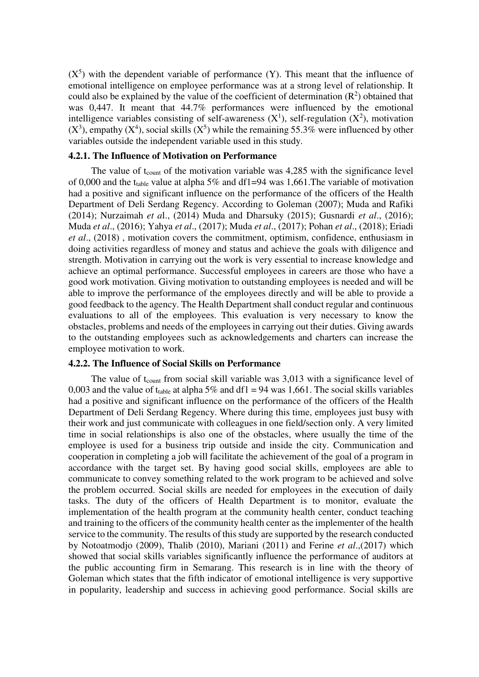$(X<sup>5</sup>)$  with the dependent variable of performance  $(Y)$ . This meant that the influence of emotional intelligence on employee performance was at a strong level of relationship. It could also be explained by the value of the coefficient of determination  $(R^2)$  obtained that was 0,447. It meant that 44.7% performances were influenced by the emotional intelligence variables consisting of self-awareness  $(X^1)$ , self-regulation  $(X^2)$ , motivation  $(X^3)$ , empathy  $(X^4)$ , social skills  $(X^5)$  while the remaining 55.3% were influenced by other variables outside the independent variable used in this study.

#### **4.2.1. The Influence of Motivation on Performance**

The value of t<sub>count</sub> of the motivation variable was 4,285 with the significance level of 0,000 and the t<sub>table</sub> value at alpha 5% and df1=94 was 1,661. The variable of motivation had a positive and significant influence on the performance of the officers of the Health Department of Deli Serdang Regency. According to Goleman (2007); Muda and Rafiki (2014); Nurzaimah *et a*l., (2014) Muda and Dharsuky (2015); Gusnardi *et al*., (2016); Muda *et al*., (2016); Yahya *et al*., (2017); Muda *et al*., (2017); Pohan *et al*., (2018); Eriadi *et al*., (2018) , motivation covers the commitment, optimism, confidence, enthusiasm in doing activities regardless of money and status and achieve the goals with diligence and strength. Motivation in carrying out the work is very essential to increase knowledge and achieve an optimal performance. Successful employees in careers are those who have a good work motivation. Giving motivation to outstanding employees is needed and will be able to improve the performance of the employees directly and will be able to provide a good feedback to the agency. The Health Department shall conduct regular and continuous evaluations to all of the employees. This evaluation is very necessary to know the obstacles, problems and needs of the employees in carrying out their duties. Giving awards to the outstanding employees such as acknowledgements and charters can increase the employee motivation to work.

#### **4.2.2. The Influence of Social Skills on Performance**

The value of  $t_{\text{count}}$  from social skill variable was 3,013 with a significance level of 0,003 and the value of t<sub>table</sub> at alpha 5% and df1 = 94 was 1,661. The social skills variables had a positive and significant influence on the performance of the officers of the Health Department of Deli Serdang Regency. Where during this time, employees just busy with their work and just communicate with colleagues in one field/section only. A very limited time in social relationships is also one of the obstacles, where usually the time of the employee is used for a business trip outside and inside the city. Communication and cooperation in completing a job will facilitate the achievement of the goal of a program in accordance with the target set. By having good social skills, employees are able to communicate to convey something related to the work program to be achieved and solve the problem occurred. Social skills are needed for employees in the execution of daily tasks. The duty of the officers of Health Department is to monitor, evaluate the implementation of the health program at the community health center, conduct teaching and training to the officers of the community health center as the implementer of the health service to the community. The results of this study are supported by the research conducted by Notoatmodjo (2009), Thalib (2010), Mariani (2011) and Ferine *et al*.,(2017) which showed that social skills variables significantly influence the performance of auditors at the public accounting firm in Semarang. This research is in line with the theory of Goleman which states that the fifth indicator of emotional intelligence is very supportive in popularity, leadership and success in achieving good performance. Social skills are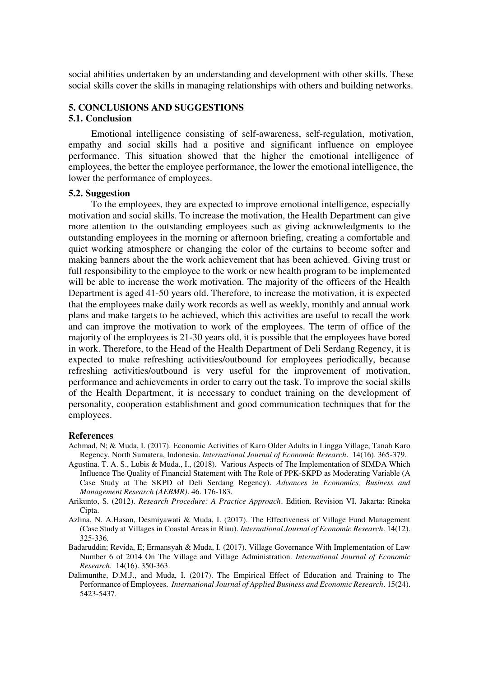social abilities undertaken by an understanding and development with other skills. These social skills cover the skills in managing relationships with others and building networks.

# **5. CONCLUSIONS AND SUGGESTIONS**

#### **5.1. Conclusion**

 Emotional intelligence consisting of self-awareness, self-regulation, motivation, empathy and social skills had a positive and significant influence on employee performance. This situation showed that the higher the emotional intelligence of employees, the better the employee performance, the lower the emotional intelligence, the lower the performance of employees.

#### **5.2. Suggestion**

To the employees, they are expected to improve emotional intelligence, especially motivation and social skills. To increase the motivation, the Health Department can give more attention to the outstanding employees such as giving acknowledgments to the outstanding employees in the morning or afternoon briefing, creating a comfortable and quiet working atmosphere or changing the color of the curtains to become softer and making banners about the the work achievement that has been achieved. Giving trust or full responsibility to the employee to the work or new health program to be implemented will be able to increase the work motivation. The majority of the officers of the Health Department is aged 41-50 years old. Therefore, to increase the motivation, it is expected that the employees make daily work records as well as weekly, monthly and annual work plans and make targets to be achieved, which this activities are useful to recall the work and can improve the motivation to work of the employees. The term of office of the majority of the employees is 21-30 years old, it is possible that the employees have bored in work. Therefore, to the Head of the Health Department of Deli Serdang Regency, it is expected to make refreshing activities/outbound for employees periodically, because refreshing activities/outbound is very useful for the improvement of motivation, performance and achievements in order to carry out the task. To improve the social skills of the Health Department, it is necessary to conduct training on the development of personality, cooperation establishment and good communication techniques that for the employees.

#### **References**

- Achmad, N; & Muda, I. (2017). Economic Activities of Karo Older Adults in Lingga Village, Tanah Karo Regency, North Sumatera, Indonesia. *International Journal of Economic Research*. 14(16). 365-379.
- Agustina. T. A. S., Lubis & Muda., I., (2018). Various Aspects of The Implementation of SIMDA Which Influence The Quality of Financial Statement with The Role of PPK-SKPD as Moderating Variable (A Case Study at The SKPD of Deli Serdang Regency). *Advances in Economics, Business and Management Research (AEBMR)*. 46. 176-183.
- Arikunto, S. (2012). *Research Procedure: A Practice Approach*. Edition. Revision VI. Jakarta: Rineka Cipta.
- Azlina, N. A.Hasan, Desmiyawati & Muda, I. (2017). The Effectiveness of Village Fund Management (Case Study at Villages in Coastal Areas in Riau). *International Journal of Economic Research*. 14(12). 325-336.
- Badaruddin; Revida, E; Ermansyah & Muda, I. (2017). Village Governance With Implementation of Law Number 6 of 2014 On The Village and Village Administration. *International Journal of Economic Research*. 14(16). 350-363.
- Dalimunthe, D.M.J., and Muda, I. (2017). The Empirical Effect of Education and Training to The Performance of Employees. *International Journal of Applied Business and Economic Research*. 15(24). 5423-5437.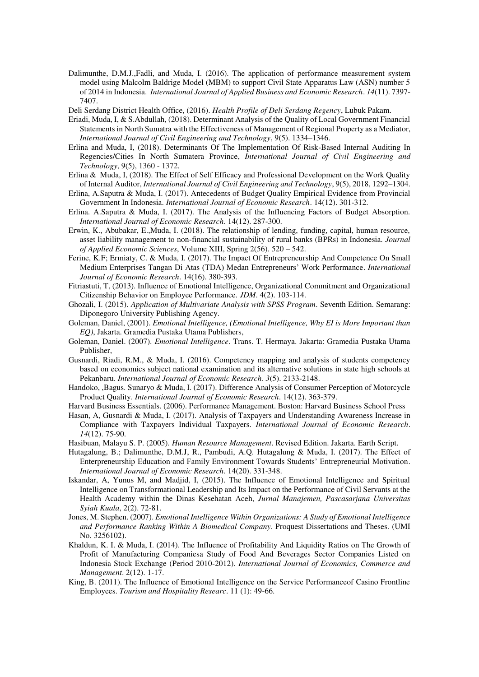Dalimunthe, D.M.J.,Fadli, and Muda, I. (2016). The application of performance measurement system model using Malcolm Baldrige Model (MBM) to support Civil State Apparatus Law (ASN) number 5 of 2014 in Indonesia. *International Journal of Applied Business and Economic Research*. *14*(11). 7397- 7407.

Deli Serdang District Health Office, (2016). *Health Profile of Deli Serdang Regency*, Lubuk Pakam.

- Eriadi, Muda, I, & S.Abdullah, (2018). Determinant Analysis of the Quality of Local Government Financial Statements in North Sumatra with the Effectiveness of Management of Regional Property as a Mediator, *International Journal of Civil Engineering and Technology*, 9(5). 1334–1346.
- Erlina and Muda, I, (2018). Determinants Of The Implementation Of Risk-Based Internal Auditing In Regencies/Cities In North Sumatera Province, *International Journal of Civil Engineering and Technology*, 9(5), 1360 - 1372.
- Erlina & Muda, I, (2018). The Effect of Self Efficacy and Professional Development on the Work Quality of Internal Auditor, *International Journal of Civil Engineering and Technology*, 9(5), 2018, 1292–1304.
- Erlina, A.Saputra & Muda, I. (2017). Antecedents of Budget Quality Empirical Evidence from Provincial Government In Indonesia. *International Journal of Economic Research*. 14(12). 301-312.
- Erlina. A.Saputra & Muda, I. (2017). The Analysis of the Influencing Factors of Budget Absorption. *International Journal of Economic Research*. 14(12). 287-300.
- Erwin, K., Abubakar, E.,Muda, I. (2018). The relationship of lending, funding, capital, human resource, asset liability management to non-financial sustainability of rural banks (BPRs) in Indonesia*. Journal of Applied Economic Sciences*, Volume XIII, Spring 2(56). 520 – 542.
- Ferine, K.F; Ermiaty, C. & Muda, I. (2017). The Impact Of Entrepreneurship And Competence On Small Medium Enterprises Tangan Di Atas (TDA) Medan Entrepreneurs' Work Performance. *International Journal of Economic Research*. 14(16). 380-393.
- Fitriastuti, T, (2013). Influence of Emotional Intelligence, Organizational Commitment and Organizational Citizenship Behavior on Employee Performance. *JDM*. 4(2). 103-114.
- Ghozali, I. (2015). *Application of Multivariate Analysis with SPSS Program*. Seventh Edition. Semarang: Diponegoro University Publishing Agency.
- Goleman, Daniel, (2001). *Emotional Intelligence, (Emotional Intelligence, Why EI is More Important than EQ)*, Jakarta. Gramedia Pustaka Utama Publishers,
- Goleman, Daniel. (2007). *Emotional Intelligence*. Trans. T. Hermaya. Jakarta: Gramedia Pustaka Utama Publisher,
- Gusnardi, Riadi, R.M., & Muda, I. (2016). Competency mapping and analysis of students competency based on economics subject national examination and its alternative solutions in state high schools at Pekanbaru. *International Journal of Economic Research. 3*(5). 2133-2148.
- Handoko, ,Bagus. Sunaryo & Muda, I. (2017). Difference Analysis of Consumer Perception of Motorcycle Product Quality. *International Journal of Economic Research*. 14(12). 363-379.
- Harvard Business Essentials. (2006). Performance Management. Boston: Harvard Business School Press
- Hasan, A, Gusnardi & Muda, I. (2017). Analysis of Taxpayers and Understanding Awareness Increase in Compliance with Taxpayers Individual Taxpayers. *International Journal of Economic Research*. *14*(12). 75-90.
- Hasibuan, Malayu S. P. (2005). *Human Resource Management*. Revised Edition. Jakarta. Earth Script.
- Hutagalung, B.; Dalimunthe, D.M.J, R., Pambudi, A.Q. Hutagalung & Muda, I. (2017). [The Effect of](http://serialsjournals.com/articlesview.php?volumesno_id=1384&article_id=21577&volumes_id=1068&journals_id=41)  [Enterpreneurship Education and Family Environment Towards Students' Entrepreneurial Motivation](http://serialsjournals.com/articlesview.php?volumesno_id=1384&article_id=21577&volumes_id=1068&journals_id=41). *International Journal of Economic Research*. 14(20). 331-348.
- Iskandar, A, Yunus M, and Madjid, I, (2015). The Influence of Emotional Intelligence and Spiritual Intelligence on Transformational Leadership and Its Impact on the Performance of Civil Servants at the Health Academy within the Dinas Kesehatan Aceh, *Jurnal Manajemen, Pascasarjana Universitas Syiah Kuala*, 2(2). 72-81.
- Jones, M. Stephen. (2007). *Emotional Intelligence Within Organizations: A Study of Emotional Intelligence and Performance Ranking Within A Biomedical Company*. Proquest Dissertations and Theses. (UMI No. 3256102).
- Khaldun, K. I. & Muda, I. (2014). The Influence of Profitability And Liquidity Ratios on The Growth of Profit of Manufacturing Companiesa Study of Food And Beverages Sector Companies Listed on Indonesia Stock Exchange (Period 2010-2012). *International Journal of Economics, Commerce and Management*. 2(12). 1-17.
- King, B. (2011). The Influence of Emotional Intelligence on the Service Performanceof Casino Frontline Employees. *Tourism and Hospitality Researc*. 11 (1): 49-66.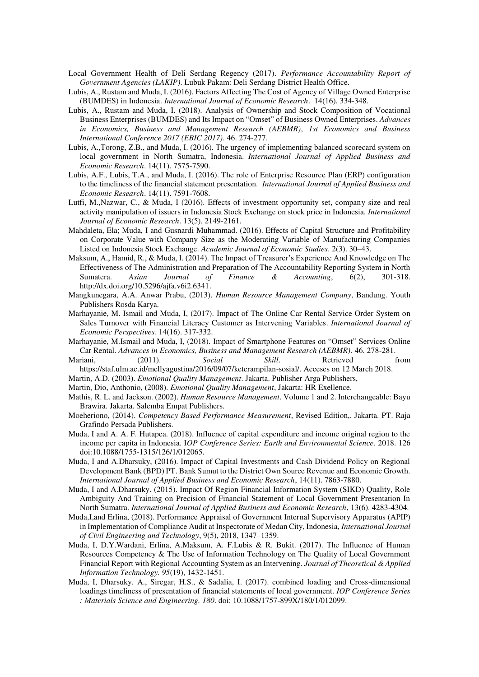- Local Government Health of Deli Serdang Regency (2017). *Performance Accountability Report of Government Agencies (LAKIP)*. Lubuk Pakam: Deli Serdang District Health Office.
- Lubis, A., Rustam and Muda, I. (2016). Factors Affecting The Cost of Agency of Village Owned Enterprise (BUMDES) in Indonesia. *International Journal of Economic Research*. 14(16). 334-348.
- Lubis, A., Rustam and Muda, I. (2018). Analysis of Ownership and Stock Composition of Vocational Business Enterprises (BUMDES) and Its Impact on "Omset" of Business Owned Enterprises. *Advances in Economics, Business and Management Research (AEBMR)*, *1st Economics and Business International Conference 2017 (EBIC 2017)*. 46. 274-277.
- Lubis, A.,Torong, Z.B., and Muda, I. (2016). The urgency of implementing balanced scorecard system on local government in North Sumatra, Indonesia. *International Journal of Applied Business and Economic Research*. 14(11). 7575-7590.
- Lubis, A.F., Lubis, T.A., and Muda, I. (2016). The role of Enterprise Resource Plan (ERP) configuration to the timeliness of the financial statement presentation. *International Journal of Applied Business and Economic Research*. 14(11). 7591-7608.
- Lutfi, M.,Nazwar, C., & Muda, I (2016). Effects of investment opportunity set, company size and real activity manipulation of issuers in Indonesia Stock Exchange on stock price in Indonesia. *International Journal of Economic Research*. 13(5). 2149-2161.
- Mahdaleta, Ela; Muda, I and Gusnardi Muhammad. (2016). Effects of Capital Structure and Profitability on Corporate Value with Company Size as the Moderating Variable of Manufacturing Companies Listed on Indonesia Stock Exchange. *Academic Journal of Economic Studies*. 2(3). 30–43.
- Maksum, A., Hamid, R., & Muda, I. (2014). The Impact of Treasurer's Experience And Knowledge on The Effectiveness of The Administration and Preparation of The Accountability Reporting System in North Sumatera. *Asian Journal of Finance & Accounting*, 6(2), 301-318. http://dx.doi.org/10.5296/ajfa.v6i2.6341.
- Mangkunegara, A.A. Anwar Prabu, (2013). *Human Resource Management Company*, Bandung. Youth Publishers Rosda Karya.
- Marhayanie, M. Ismail and Muda, I, (2017). Impact of The Online Car Rental Service Order System on Sales Turnover with Financial Literacy Customer as Intervening Variables. *International Journal of Economic Perspectives.* 14(16). 317-332.
- Marhayanie, M.Ismail and Muda, I, (2018). Impact of Smartphone Features on "Omset" Services Online Car Rental. *Advances in Economics, Business and Management Research (AEBMR)*. 46. 278-281.
- Mariani, (2011). *Social Skill*. Retrieved from https://staf.ulm.ac.id/mellyagustina/2016/09/07/keterampilan-sosial/. Acceses on 12 March 2018.
- Martin, A.D. (2003). *Emotional Quality Management*. Jakarta. Publisher Arga Publishers,
- Martin, Dio, Anthonio, (2008). *Emotional Quality Management*, Jakarta: HR Exellence.
- Mathis, R. L. and Jackson. (2002). *Human Resource Management*. Volume 1 and 2. Interchangeable: Bayu Brawira. Jakarta. Salemba Empat Publishers.
- Moeheriono, (2014). *Competency Based Performance Measurement*, Revised Edition,. Jakarta. PT. Raja Grafindo Persada Publishers.
- Muda, I and A. A. F. Hutapea. (2018). Influence of capital expenditure and income original region to the income per capita in Indonesia. I*OP Conference Series: Earth and Environmental Science*. 2018. 126 doi:10.1088/1755-1315/126/1/012065.
- Muda, I and A.Dharsuky, (2016). Impact of Capital Investments and Cash Dividend Policy on Regional Development Bank (BPD) PT. Bank Sumut to the District Own Source Revenue and Economic Growth. *International Journal of Applied Business and Economic Research*, 14(11). 7863-7880.
- Muda, I and A.Dharsuky. (2015). Impact Of Region Financial Information System (SIKD) Quality, Role Ambiguity And Training on Precision of Financial Statement of Local Government Presentation In North Sumatra. *International Journal of Applied Business and Economic Research*, 13(6). 4283-4304.
- Muda,I,and Erlina, (2018). Performance Appraisal of Government Internal Supervisory Apparatus (APIP) in Implementation of Compliance Audit at Inspectorate of Medan City, Indonesia, *International Journal of Civil Engineering and Technology*, 9(5), 2018, 1347–1359.
- Muda, I, D.Y.Wardani, Erlina, A.Maksum, A. F.Lubis & R. Bukit. (2017). The Influence of Human Resources Competency & The Use of Information Technology on The Quality of Local Government Financial Report with Regional Accounting System as an Intervening. *Journal of Theoretical & Applied Information Technology. 95*(19), 1432-1451.
- Muda, I, Dharsuky. A., Siregar, H.S., & Sadalia, I. (2017). combined loading and Cross-dimensional loadings timeliness of presentation of financial statements of local government. *IOP Conference Series : Materials Science and Engineering. 180*. doi: 10.1088/1757-899X/180/1/012099.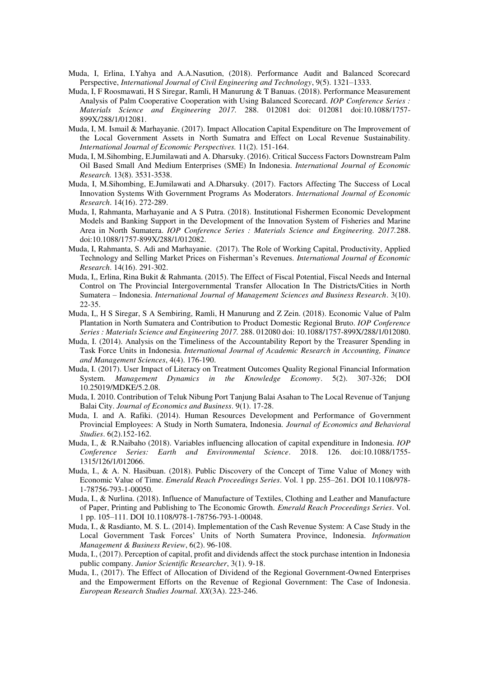- Muda, I, Erlina, I.Yahya and A.A.Nasution, (2018). Performance Audit and Balanced Scorecard Perspective, *International Journal of Civil Engineering and Technology*, 9(5). 1321–1333.
- Muda, I, F Roosmawati, H S Siregar, Ramli, H Manurung & T Banuas. (2018)[. Performance Measurement](http://iopscience.iop.org/article/10.1088/1757-899X/288/1/012081)  [Analysis of Palm Cooperative Cooperation with Using Balanced Scorecard.](http://iopscience.iop.org/article/10.1088/1757-899X/288/1/012081) *IOP Conference Series : Materials Science and Engineering 2017.* 288. 012081 doi: 012081 doi:10.1088/1757- 899X/288/1/012081.
- Muda, I, M. Ismail & Marhayanie. (2017). Impact Allocation Capital Expenditure on The Improvement of the Local Government Assets in North Sumatra and Effect on Local Revenue Sustainability. *International Journal of Economic Perspectives.* 11(2). 151-164.
- Muda, I, M.Sihombing, E.Jumilawati and A. Dharsuky. (2016). Critical Success Factors Downstream Palm Oil Based Small And Medium Enterprises (SME) In Indonesia. *International Journal of Economic Research.* 13(8). 3531-3538.
- Muda, I, M.Sihombing, E.Jumilawati and A.Dharsuky. (2017). Factors Affecting The Success of Local Innovation Systems With Government Programs As Moderators. *International Journal of Economic Research*. 14(16). 272-289.
- Muda, I, Rahmanta, Marhayanie and A S Putra. (2018). [Institutional Fishermen Economic Development](http://iopscience.iop.org/article/10.1088/1757-899X/288/1/012082)  [Models and Banking Support in the Development of the Innovation System of Fisheries and Marine](http://iopscience.iop.org/article/10.1088/1757-899X/288/1/012082)  [Area in North Sumatera.](http://iopscience.iop.org/article/10.1088/1757-899X/288/1/012082) *IOP Conference Series : Materials Science and Engineering. 2017.*288. doi:10.1088/1757-899X/288/1/012082.
- Muda, I, Rahmanta, S. Adi and Marhayanie. (2017). The Role of Working Capital, Productivity, Applied Technology and Selling Market Prices on Fisherman's Revenues. *International Journal of Economic Research*. 14(16). 291-302.
- Muda, I,, Erlina, Rina Bukit & Rahmanta. (2015). The Effect of Fiscal Potential, Fiscal Needs and Internal Control on The Provincial Intergovernmental Transfer Allocation In The Districts/Cities in North Sumatera – Indonesia. *International Journal of Management Sciences and Business Research*. 3(10). 22-35.
- Muda, I,, H S Siregar, S A Sembiring, Ramli, H Manurung and Z Zein. (2018). [Economic Value of Palm](http://iopscience.iop.org/article/10.1088/1757-899X/288/1/012080)  [Plantation in North Sumatera and Contribution to Product Domestic Regional Bruto.](http://iopscience.iop.org/article/10.1088/1757-899X/288/1/012080) *IOP Conference Series : Materials Science and Engineering 2017.* 288. 012080 doi: 10.1088/1757-899X/288/1/012080.
- Muda, I. (2014). Analysis on the Timeliness of the Accountability Report by the Treasurer Spending in Task Force Units in Indonesia. *International Journal of Academic Research in Accounting, Finance and Management Sciences*, 4(4). 176-190.
- Muda, I. (2017). User Impact of Literacy on Treatment Outcomes Quality Regional Financial Information System. *Management Dynamics in the Knowledge Economy*. 5(2). 307-326; DOI 10.25019/MDKE/5.2.08.
- Muda, I. 2010. Contribution of Teluk Nibung Port Tanjung Balai Asahan to The Local Revenue of Tanjung Balai City. *Journal of Economics and Business*. 9(1). 17-28.
- Muda, I. and A. Rafiki. (2014). Human Resources Development and Performance of Government Provincial Employees: A Study in North Sumatera, Indonesia. *Journal of Economics and Behavioral Studies*. 6(2).152-162.
- Muda, I., & R.Naibaho (2018). Variables influencing allocation of capital expenditure in Indonesia*. IOP Conference Series: Earth and Environmental Science*. 2018. 126. doi:10.1088/1755- 1315/126/1/012066.
- Muda, I., & A. N. Hasibuan. (2018). Public Discovery of the Concept of Time Value of Money with Economic Value of Time. *Emerald Reach Proceedings Series*. Vol. 1 pp. 255–261. DOI 10.1108/978- 1-78756-793-1-00050.
- Muda, I., & Nurlina. (2018). Influence of Manufacture of Textiles, Clothing and Leather and Manufacture of Paper, Printing and Publishing to The Economic Growth. *Emerald Reach Proceedings Series*. Vol. 1 pp. 105–111. DOI 10.1108/978-1-78756-793-1-00048.
- Muda, I., & Rasdianto, M. S. L. (2014). Implementation of the Cash Revenue System: A Case Study in the Local Government Task Forces' Units of North Sumatera Province, Indonesia. *Information Management & Business Review*, 6(2). 96-108.
- Muda, I., (2017). Perception of capital, profit and dividends affect the stock purchase intention in Indonesia public company. *Junior Scientific Researcher*, 3(1). 9-18.
- Muda, I., (2017). The Effect of Allocation of Dividend of the Regional Government-Owned Enterprises and the Empowerment Efforts on the Revenue of Regional Government: The Case of Indonesia. *European Research Studies Journal. XX*(3A). 223-246.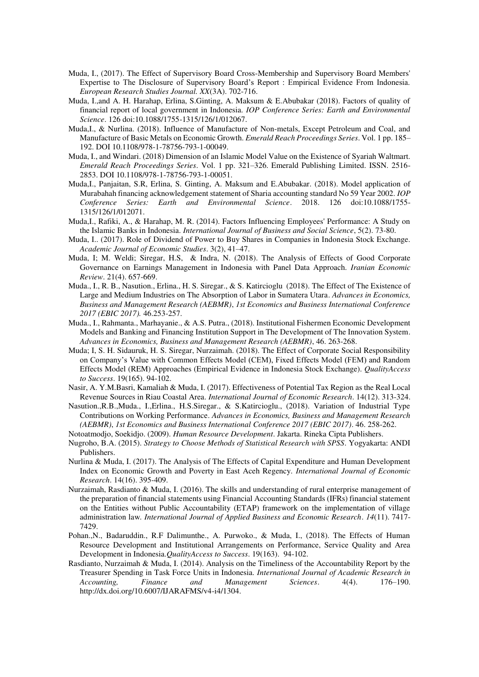- Muda, I., (2017). The Effect of Supervisory Board Cross-Membership and Supervisory Board Members' Expertise to The Disclosure of Supervisory Board's Report : Empirical Evidence From Indonesia. *European Research Studies Journal. XX*(3A). 702-716.
- Muda, I.,and A. H. Harahap, Erlina, S.Ginting, A. Maksum & E.Abubakar (2018). Factors of quality of financial report of local government in Indonesia. *IOP Conference Series: Earth and Environmental Science*. 126 doi:10.1088/1755-1315/126/1/012067.
- Muda,I., & Nurlina. (2018). Influence of Manufacture of Non-metals, Except Petroleum and Coal, and Manufacture of Basic Metals on Economic Growth. *Emerald Reach Proceedings Series*. Vol. 1 pp. 185– 192. DOI 10.1108/978-1-78756-793-1-00049.
- Muda, I., and Windari. (2018) Dimension of an Islamic Model Value on the Existence of Syariah Waltmart. *Emerald Reach Proceedings Series*. Vol. 1 pp. 321–326. Emerald Publishing Limited. ISSN. 2516- 2853. DOI 10.1108/978-1-78756-793-1-00051.
- Muda,I., Panjaitan, S.R, Erlina, S. Ginting, A. Maksum and E.Abubakar. (2018). Model application of Murabahah financing acknowledgement statement of Sharia accounting standard No 59 Year 2002. *IOP Conference Series: Earth and Environmental Science*. 2018. 126 doi:10.1088/1755- 1315/126/1/012071.
- Muda,I., Rafiki, A., & Harahap, M. R. (2014). Factors Influencing Employees' Performance: A Study on the Islamic Banks in Indonesia. *International Journal of Business and Social Science*, 5(2). 73-80.
- Muda, I.. (2017). Role of Dividend of Power to Buy Shares in Companies in Indonesia Stock Exchange. *Academic Journal of Economic Studies*. 3(2), 41–47.
- Muda, I; M. Weldi; Siregar, H.S, & Indra, N. (2018). The Analysis of Effects of Good Corporate Governance on Earnings Management in Indonesia with Panel Data Approach. *Iranian Economic Review*. 21(4). 657-669.
- Muda., I., R. B., Nasution., Erlina., H. S. Siregar., & S. Katircioglu (2018). The Effect of The Existence of Large and Medium Industries on The Absorption of Labor in Sumatera Utara. *Advances in Economics, Business and Management Research (AEBMR)*, *1st Economics and Business International Conference 2017 (EBIC 2017).* 46.253-257.
- Muda., I., Rahmanta., Marhayanie., & A.S. Putra., (2018). Institutional Fishermen Economic Development Models and Banking and Financing Institution Support in The Development of The Innovation System. *Advances in Economics, Business and Management Research (AEBMR)*, 46. 263-268.
- Muda; I, S. H. Sidauruk, H. S. Siregar, Nurzaimah. (2018). The Effect of Corporate Social Responsibility on Company's Value with Common Effects Model (CEM), Fixed Effects Model (FEM) and Random Effects Model (REM) Approaches (Empirical Evidence in Indonesia Stock Exchange). *QualityAccess to Success*. 19(165). 94-102.
- Nasir, A. Y.M.Basri, Kamaliah & Muda, I. (2017). Effectiveness of Potential Tax Region as the Real Local Revenue Sources in Riau Coastal Area. *International Journal of Economic Research*. 14(12). 313-324.
- Nasution.,R.B.,Muda., I.,Erlina., H.S.Siregar., & S.Katircioglu., (2018). Variation of Industrial Type Contributions on Working Performance. *Advances in Economics, Business and Management Research (AEBMR)*, *1st Economics and Business International Conference 2017 (EBIC 2017)*. 46. 258-262.
- Notoatmodjo, Soekidjo. (2009). *Human Resource Development*. Jakarta. Rineka Cipta Publishers.
- Nugroho, B.A. (2015). *Strategy to Choose Methods of Statistical Research with SPSS*. Yogyakarta: ANDI Publishers.
- Nurlina & Muda, I. (2017). The Analysis of The Effects of Capital Expenditure and Human Development Index on Economic Growth and Poverty in East Aceh Regency. *International Journal of Economic Research*. 14(16). 395-409.
- Nurzaimah, Rasdianto & Muda, I. (2016). The skills and understanding of rural enterprise management of the preparation of financial statements using Financial Accounting Standards (IFRs) financial statement on the Entities without Public Accountability (ETAP) framework on the implementation of village administration law*. International Journal of Applied Business and Economic Research*. *14*(11). 7417- 7429.
- Pohan.,N., Badaruddin., R.F Dalimunthe., A. Purwoko., & Muda, I., (2018). The Effects of Human Resource Development and Institutional Arrangements on Performance, Service Quality and Area Development in Indonesia.*QualityAccess to Success*. 19(163). 94-102.
- Rasdianto, Nurzaimah & Muda, I. (2014). Analysis on the Timeliness of the Accountability Report by the Treasurer Spending in Task Force Units in Indonesia. *International Journal of Academic Research in Accounting, Finance and Management Sciences*. 4(4). 176–190. http://dx.doi.org/10.6007/IJARAFMS/v4-i4/1304.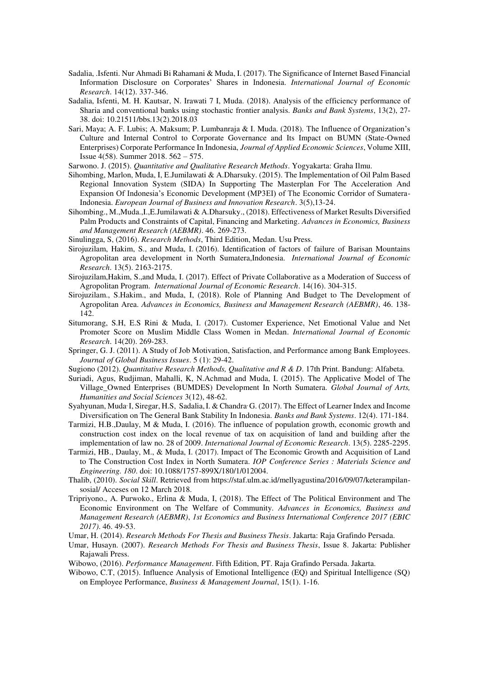- Sadalia, .Isfenti. Nur Ahmadi Bi Rahamani & Muda, I. (2017). The Significance of Internet Based Financial Information Disclosure on Corporates' Shares in Indonesia. *International Journal of Economic Research*. 14(12). 337-346.
- Sadalia, Isfenti, M. H. Kautsar, N. Irawati 7 I, Muda. (2018). Analysis of the efficiency performance of Sharia and conventional banks using stochastic frontier analysis. *Banks and Bank Systems*, 13(2), 27- 38. doi[: 10.21511/bbs.13\(2\).2018.03](http://dx.doi.org/10.21511/bbs.13%282%29.2018.03)
- Sari, Maya; A. F. Lubis; A. Maksum; P. Lumbanraja & I. Muda. (2018). The Influence of Organization's Culture and Internal Control to Corporate Governance and Its Impact on BUMN (State-Owned Enterprises) Corporate Performance In Indonesia, *Journal of Applied Economic Sciences*, Volume XIII, Issue 4(58). Summer 2018. 562 – 575.
- Sarwono. J. (2015). *Quantitative and Qualitative Research Methods*. Yogyakarta: Graha Ilmu.
- Sihombing, Marlon, Muda, I, E.Jumilawati & A.Dharsuky. (2015). The Implementation of Oil Palm Based Regional Innovation System (SIDA) In Supporting The Masterplan For The Acceleration And Expansion Of Indonesia's Economic Development (MP3EI) of The Economic Corridor of Sumatera-Indonesia. *European Journal of Business and Innovation Research*. 3(5),13-24.
- Sihombing., M.,Muda.,I.,E.Jumilawati & A.Dharsuky., (2018). Effectiveness of Market Results Diversified Palm Products and Constraints of Capital, Financing and Marketing. *Advances in Economics, Business and Management Research (AEBMR)*. 46. 269-273.
- Sinulingga, S, (2016). *Research Methods*, Third Edition, Medan. Usu Press.
- Sirojuzilam, Hakim, S., and Muda, I. (2016). Identification of factors of failure of Barisan Mountains Agropolitan area development in North Sumatera,Indonesia. *International Journal of Economic Research*. 13(5). 2163-2175.
- Sirojuzilam,Hakim, S.,and Muda, I. (2017). Effect of Private Collaborative as a Moderation of Success of Agropolitan Program. *International Journal of Economic Research*. 14(16). 304-315.
- Sirojuzilam., S.Hakim., and Muda, I, (2018). Role of Planning And Budget to The Development of Agropolitan Area. *Advances in Economics, Business and Management Research (AEBMR)*, 46. 138- 142.
- Situmorang, S.H, E.S Rini & Muda, I. (2017). [Customer Experience, Net Emotional Value and Net](http://serialsjournals.com/articlesview.php?volumesno_id=1384&article_id=21573&volumes_id=1068&journals_id=41)  [Promoter Score on Muslim Middle Class Women in Medan.](http://serialsjournals.com/articlesview.php?volumesno_id=1384&article_id=21573&volumes_id=1068&journals_id=41) *International Journal of Economic Research*. 14(20). 269-283.
- Springer, G. J. (2011). A Study of Job Motivation, Satisfaction, and Performance among Bank Employees. *Journal of Global Business Issues*. 5 (1): 29-42.
- Sugiono (2012). *Quantitative Research Methods, Qualitative and R & D*. 17th Print. Bandung: Alfabeta.
- Suriadi, Agus, Rudjiman, Mahalli, K, N.Achmad and Muda, I. (2015). The Applicative Model of The Village\_Owned Enterprises (BUMDES) Development In North Sumatera. *Global Journal of Arts, Humanities and Social Sciences* 3(12), 48-62.
- Syahyunan, Muda I, Siregar, H.S, Sadalia, I. & Chandra G. (2017). The Effect of Learner Index and Income Diversification on The General Bank Stability In Indonesia. *Banks and Bank Systems*. 12(4). 171-184.
- Tarmizi, H.B.,Daulay, M & Muda, I. (2016). The influence of population growth, economic growth and construction cost index on the local revenue of tax on acquisition of land and building after the implementation of law no. 28 of 2009. *International Journal of Economic Research*. 13(5). 2285-2295.
- Tarmizi, HB., Daulay, M., & Muda, I. (2017). Impact of The Economic Growth and Acquisition of Land to The Construction Cost Index in North Sumatera. *IOP Conference Series : Materials Science and Engineering. 180*. doi: 10.1088/1757-899X/180/1/012004.
- Thalib, (2010). *Social Skill*. Retrieved from https://staf.ulm.ac.id/mellyagustina/2016/09/07/keterampilansosial/ Acceses on 12 March 2018.
- Tripriyono., A. Purwoko., Erlina & Muda, I, (2018). The Effect of The Political Environment and The Economic Environment on The Welfare of Community. *Advances in Economics, Business and Management Research (AEBMR)*, *1st Economics and Business International Conference 2017 (EBIC 2017)*. 46. 49-53.
- Umar, H. (2014). *Research Methods For Thesis and Business Thesis*. Jakarta: Raja Grafindo Persada.
- Umar, Husayn. (2007). *Research Methods For Thesis and Business Thesis*, Issue 8. Jakarta: Publisher Rajawali Press.
- Wibowo, (2016). *Performance Management*. Fifth Edition, PT. Raja Grafindo Persada. Jakarta.
- Wibowo, C.T, (2015). Influence Analysis of Emotional Intelligence (EQ) and Spiritual Intelligence (SQ) on Employee Performance, *Business & Management Journal*, 15(1). 1-16.